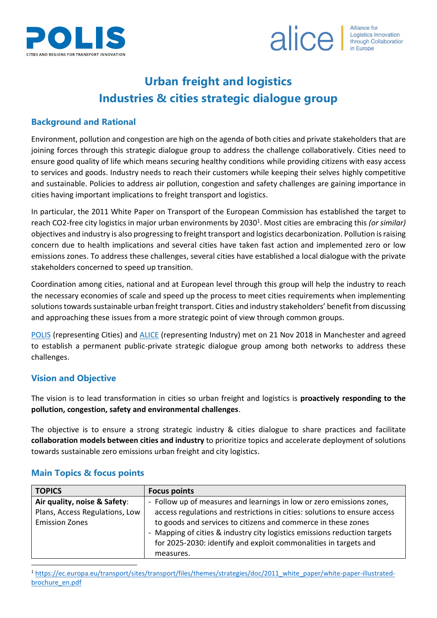



Logistics Innovation<br>through Collaboration

# **Urban freight and logistics Industries & cities strategic dialogue group**

### **Background and Rational**

Environment, pollution and congestion are high on the agenda of both cities and private stakeholders that are joining forces through this strategic dialogue group to address the challenge collaboratively. Cities need to ensure good quality of life which means securing healthy conditions while providing citizens with easy access to services and goods. Industry needs to reach their customers while keeping their selves highly competitive and sustainable. Policies to address air pollution, congestion and safety challenges are gaining importance in cities having important implications to freight transport and logistics.

In particular, the 2011 White Paper on Transport of the European Commission has established the target to reach CO2-free city logistics in major urban environments by 2030<sup>1</sup>. Most cities are embracing this *(or similar)* objectives and industry is also progressing to freight transport and logistics decarbonization. Pollution is raising concern due to health implications and several cities have taken fast action and implemented zero or low emissions zones. To address these challenges, several cities have established a local dialogue with the private stakeholders concerned to speed up transition.

Coordination among cities, national and at European level through this group will help the industry to reach the necessary economies of scale and speed up the process to meet cities requirements when implementing solutions towards sustainable urban freight transport. Cities and industry stakeholders' benefit from discussing and approaching these issues from a more strategic point of view through common groups.

[POLIS](https://www.polisnetwork.eu/) (representing Cities) and [ALICE](http://www.etp-logistics.eu/) (representing Industry) met on 21 Nov 2018 in Manchester and agreed to establish a permanent public-private strategic dialogue group among both networks to address these challenges.

## **Vision and Objective**

The vision is to lead transformation in cities so urban freight and logistics is **proactively responding to the pollution, congestion, safety and environmental challenges**.

The objective is to ensure a strong strategic industry & cities dialogue to share practices and facilitate **collaboration models between cities and industry** to prioritize topics and accelerate deployment of solutions towards sustainable zero emissions urban freight and city logistics.

| <b>TOPICS</b>                  | <b>Focus points</b>                                                       |
|--------------------------------|---------------------------------------------------------------------------|
| Air quality, noise & Safety:   | - Follow up of measures and learnings in low or zero emissions zones,     |
| Plans, Access Regulations, Low | access regulations and restrictions in cities: solutions to ensure access |
| <b>Emission Zones</b>          | to goods and services to citizens and commerce in these zones             |
|                                | - Mapping of cities & industry city logistics emissions reduction targets |
|                                | for 2025-2030: identify and exploit commonalities in targets and          |
|                                | measures.                                                                 |

#### **Main Topics & focus points**

<sup>1</sup> [https://ec.europa.eu/transport/sites/transport/files/themes/strategies/doc/2011\\_white\\_paper/white-paper-illustrated](https://ec.europa.eu/transport/sites/transport/files/themes/strategies/doc/2011_white_paper/white-paper-illustrated-brochure_en.pdf)[brochure\\_en.pdf](https://ec.europa.eu/transport/sites/transport/files/themes/strategies/doc/2011_white_paper/white-paper-illustrated-brochure_en.pdf)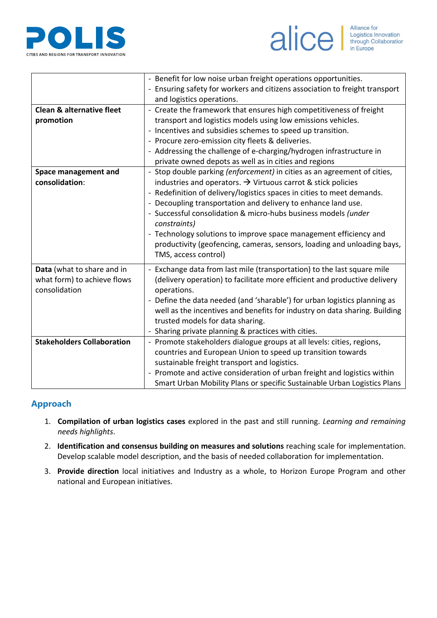



| - Benefit for low noise urban freight operations opportunities.             |  |  |
|-----------------------------------------------------------------------------|--|--|
| - Ensuring safety for workers and citizens association to freight transport |  |  |
| and logistics operations.                                                   |  |  |
| - Create the framework that ensures high competitiveness of freight         |  |  |
| transport and logistics models using low emissions vehicles.                |  |  |
| - Incentives and subsidies schemes to speed up transition.                  |  |  |
| - Procure zero-emission city fleets & deliveries.                           |  |  |
| - Addressing the challenge of e-charging/hydrogen infrastructure in         |  |  |
| private owned depots as well as in cities and regions                       |  |  |
| - Stop double parking (enforcement) in cities as an agreement of cities,    |  |  |
| industries and operators. $\rightarrow$ Virtuous carrot & stick policies    |  |  |
| - Redefinition of delivery/logistics spaces in cities to meet demands.      |  |  |
| - Decoupling transportation and delivery to enhance land use.               |  |  |
| - Successful consolidation & micro-hubs business models (under              |  |  |
| constraints)                                                                |  |  |
| - Technology solutions to improve space management efficiency and           |  |  |
| productivity (geofencing, cameras, sensors, loading and unloading bays,     |  |  |
| TMS, access control)                                                        |  |  |
| - Exchange data from last mile (transportation) to the last square mile     |  |  |
| (delivery operation) to facilitate more efficient and productive delivery   |  |  |
| operations.                                                                 |  |  |
| - Define the data needed (and 'sharable') for urban logistics planning as   |  |  |
| well as the incentives and benefits for industry on data sharing. Building  |  |  |
| trusted models for data sharing.                                            |  |  |
| - Sharing private planning & practices with cities.                         |  |  |
| - Promote stakeholders dialogue groups at all levels: cities, regions,      |  |  |
| countries and European Union to speed up transition towards                 |  |  |
| sustainable freight transport and logistics.                                |  |  |
| - Promote and active consideration of urban freight and logistics within    |  |  |
| Smart Urban Mobility Plans or specific Sustainable Urban Logistics Plans    |  |  |
|                                                                             |  |  |

#### **Approach**

- 1. **Compilation of urban logistics cases** explored in the past and still running. *Learning and remaining needs highlights*.
- 2. **Identification and consensus building on measures and solutions** reaching scale for implementation. Develop scalable model description, and the basis of needed collaboration for implementation.
- 3. **Provide direction** local initiatives and Industry as a whole, to Horizon Europe Program and other national and European initiatives.